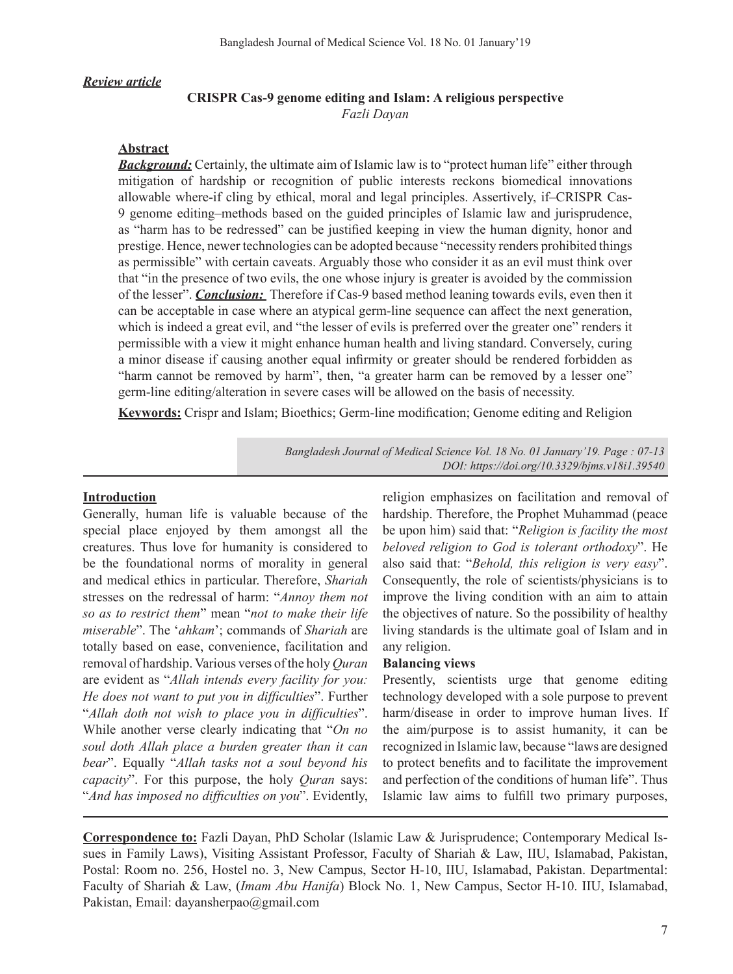### *Review article*

# **CRISPR Cas-9 genome editing and Islam: A religious perspective**

*Fazli Dayan*

# **Abstract**

**Background:** Certainly, the ultimate aim of Islamic law is to "protect human life" either through mitigation of hardship or recognition of public interests reckons biomedical innovations allowable where-if cling by ethical, moral and legal principles. Assertively, if–CRISPR Cas-9 genome editing–methods based on the guided principles of Islamic law and jurisprudence, as "harm has to be redressed" can be justified keeping in view the human dignity, honor and prestige. Hence, newer technologies can be adopted because "necessity renders prohibited things as permissible" with certain caveats. Arguably those who consider it as an evil must think over that "in the presence of two evils, the one whose injury is greater is avoided by the commission of the lesser". *Conclusion:* Therefore if Cas-9 based method leaning towards evils, even then it can be acceptable in case where an atypical germ-line sequence can affect the next generation, which is indeed a great evil, and "the lesser of evils is preferred over the greater one" renders it permissible with a view it might enhance human health and living standard. Conversely, curing a minor disease if causing another equal infirmity or greater should be rendered forbidden as "harm cannot be removed by harm", then, "a greater harm can be removed by a lesser one" germ-line editing/alteration in severe cases will be allowed on the basis of necessity.

**Keywords:** Crispr and Islam; Bioethics; Germ-line modification; Genome editing and Religion

*Bangladesh Journal of Medical Science Vol. 18 No. 01 January'19. Page : 07-13 DOI: https://doi.org/10.3329/bjms.v18i1.39540*

#### **Introduction**

Generally, human life is valuable because of the special place enjoyed by them amongst all the creatures. Thus love for humanity is considered to be the foundational norms of morality in general and medical ethics in particular. Therefore, *Shariah* stresses on the redressal of harm: "*Annoy them not so as to restrict them*" mean "*not to make their life miserable*". The '*ahkam*'; commands of *Shariah* are totally based on ease, convenience, facilitation and removal of hardship.Various verses ofthe holy *Quran* are evident as "*Allah intends every facility for you: He does not want to put you in difficulties*". Further "*Allah doth not wish to place you in difficulties*". While another verse clearly indicating that "*On no soul doth Allah place a burden greater than it can bear*". Equally "*Allah tasks not a soul beyond his capacity*". For this purpose, the holy *Quran* says: "*And has imposed no difficulties on you*". Evidently, religion emphasizes on facilitation and removal of hardship. Therefore, the Prophet Muhammad (peace be upon him) said that: "*Religion is facility the most beloved religion to God is tolerant orthodoxy*". He also said that: "*Behold, this religion is very easy*". Consequently, the role of scientists/physicians is to improve the living condition with an aim to attain the objectives of nature. So the possibility of healthy living standards is the ultimate goal of Islam and in any religion.

### **Balancing views**

Presently, scientists urge that genome editing technology developed with a sole purpose to prevent harm/disease in order to improve human lives. If the aim/purpose is to assist humanity, it can be recognized in Islamic law, because "laws are designed to protect benefits and to facilitate the improvement and perfection of the conditions of human life". Thus Islamic law aims to fulfill two primary purposes,

**Correspondence to:** Fazli Dayan, PhD Scholar (Islamic Law & Jurisprudence; Contemporary Medical Issues in Family Laws), Visiting Assistant Professor, Faculty of Shariah & Law, IIU, Islamabad, Pakistan, Postal: Room no. 256, Hostel no. 3, New Campus, Sector H-10, IIU, Islamabad, Pakistan. Departmental: Faculty of Shariah & Law, (*Imam Abu Hanifa*) Block No. 1, New Campus, Sector H-10. IIU, Islamabad, Pakistan, Email: dayansherpao@gmail.com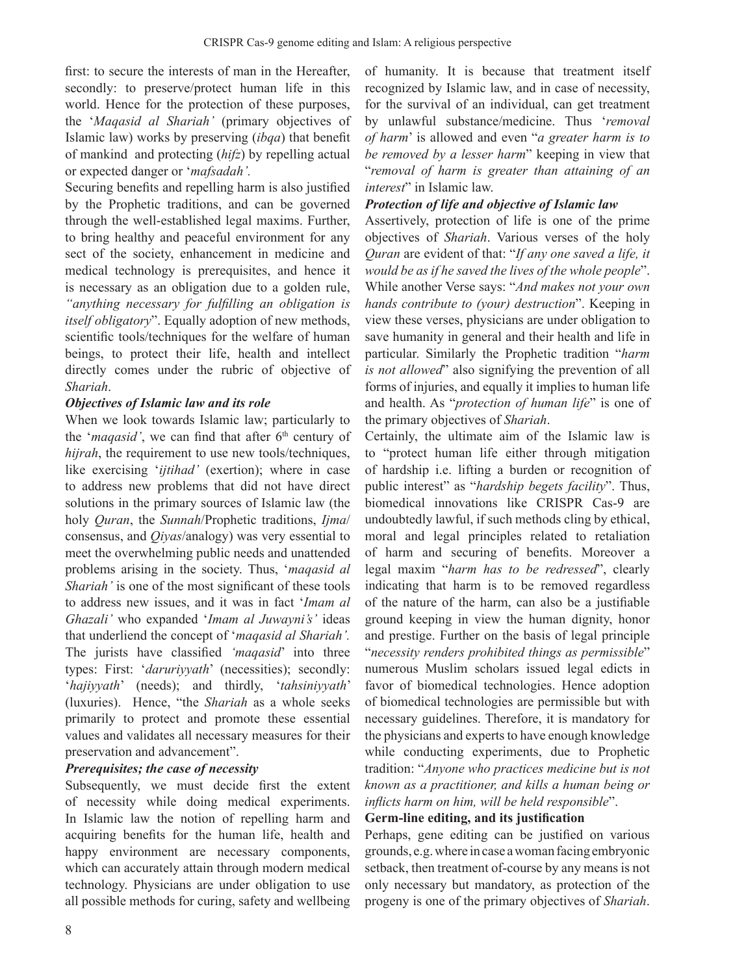first: to secure the interests of man in the Hereafter, secondly: to preserve/protect human life in this world. Hence for the protection of these purposes, the '*Maqasid al Shariah'* (primary objectives of Islamic law) works by preserving (*ibqa*) that benefit of mankind and protecting (*hifz*) by repelling actual or expected danger or '*mafsadah'.*

Securing benefits and repelling harm is also justified by the Prophetic traditions, and can be governed through the well-established legal maxims. Further, to bring healthy and peaceful environment for any sect of the society, enhancement in medicine and medical technology is prerequisites, and hence it is necessary as an obligation due to a golden rule, *"anything necessary for fulfilling an obligation is itself obligatory*". Equally adoption of new methods, scientific tools/techniques for the welfare of human beings, to protect their life, health and intellect directly comes under the rubric of objective of *Shariah*.

# *Objectives of Islamic law and its role*

When we look towards Islamic law; particularly to the '*maqasid'*, we can find that after 6<sup>th</sup> century of *hijrah*, the requirement to use new tools/techniques, like exercising '*ijtihad'* (exertion); where in case to address new problems that did not have direct solutions in the primary sources of Islamic law (the holy *Quran*, the *Sunnah*/Prophetic traditions, *Ijma*/ consensus, and *Qiyas*/analogy) was very essential to meet the overwhelming public needs and unattended problems arising in the society. Thus, '*maqasid al Shariah'* is one of the most significant of these tools to address new issues, and it was in fact '*Imam al Ghazali'* who expanded '*Imam al Juwayni's'* ideas that underliend the concept of '*maqasid al Shariah'.*  The jurists have classified *'maqasid*' into three types: First: '*daruriyyath*' (necessities); secondly: '*hajiyyath*' (needs); and thirdly, '*tahsiniyyath*' (luxuries). Hence, "the *Shariah* as a whole seeks primarily to protect and promote these essential values and validates all necessary measures for their preservation and advancement".

# *Prerequisites; the case of necessity*

Subsequently, we must decide first the extent of necessity while doing medical experiments. In Islamic law the notion of repelling harm and acquiring benefits for the human life, health and happy environment are necessary components, which can accurately attain through modern medical technology. Physicians are under obligation to use all possible methods for curing, safety and wellbeing

of humanity. It is because that treatment itself recognized by Islamic law, and in case of necessity, for the survival of an individual, can get treatment by unlawful substance/medicine. Thus '*removal of harm*' is allowed and even "*a greater harm is to be removed by a lesser harm*" keeping in view that "*removal of harm is greater than attaining of an interest*" in Islamic law.

# *Protection of life and objective of Islamic law*

Assertively, protection of life is one of the prime objectives of *Shariah*. Various verses of the holy *Quran* are evident of that: "*If any one saved a life, it would be as if he saved the lives of the whole people*". While another Verse says: "*And makes not your own hands contribute to (your) destruction*". Keeping in view these verses, physicians are under obligation to save humanity in general and their health and life in particular. Similarly the Prophetic tradition "*harm is not allowed*" also signifying the prevention of all forms of injuries, and equally it implies to human life and health. As "*protection of human life*" is one of the primary objectives of *Shariah*.

Certainly, the ultimate aim of the Islamic law is to "protect human life either through mitigation of hardship i.e. lifting a burden or recognition of public interest" as "*hardship begets facility*". Thus, biomedical innovations like CRISPR Cas-9 are undoubtedly lawful, if such methods cling by ethical, moral and legal principles related to retaliation of harm and securing of benefits. Moreover a legal maxim "*harm has to be redressed*", clearly indicating that harm is to be removed regardless of the nature of the harm, can also be a justifiable ground keeping in view the human dignity, honor and prestige. Further on the basis of legal principle "*necessity renders prohibited things as permissible*" numerous Muslim scholars issued legal edicts in favor of biomedical technologies. Hence adoption of biomedical technologies are permissible but with necessary guidelines. Therefore, it is mandatory for the physicians and experts to have enough knowledge while conducting experiments, due to Prophetic tradition: "*Anyone who practices medicine but is not known as a practitioner, and kills a human being or inflicts harm on him, will be held responsible*".

# **Germ-line editing, and its justification**

Perhaps, gene editing can be justified on various grounds, e.g.where in case awoman facing embryonic setback, then treatment of-course by any means is not only necessary but mandatory, as protection of the progeny is one of the primary objectives of *Shariah*.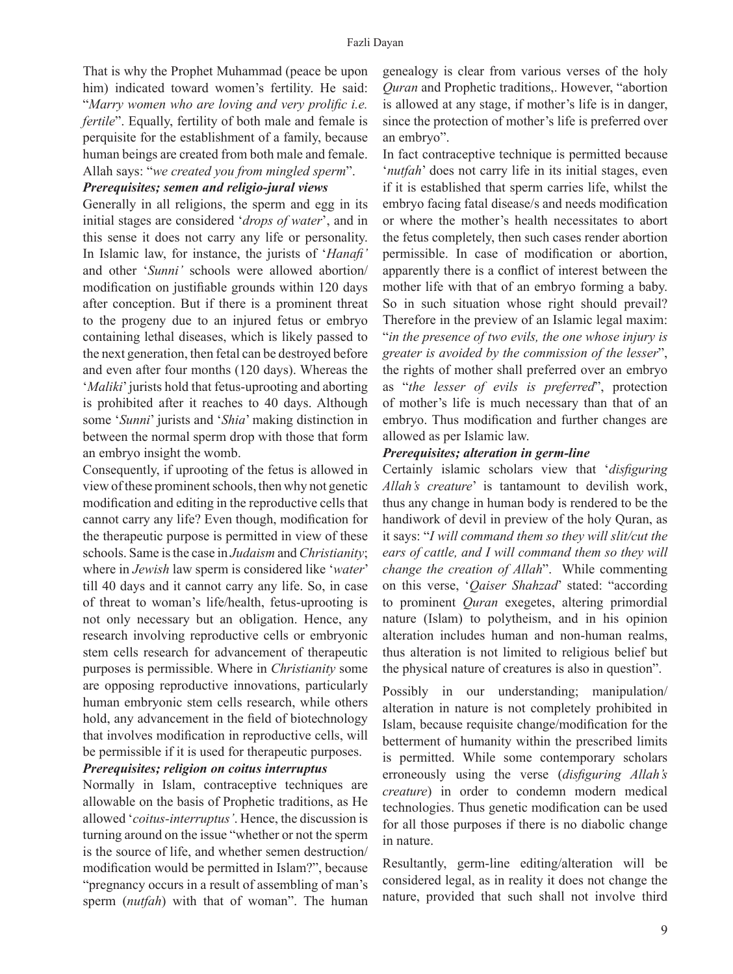That is why the Prophet Muhammad (peace be upon him) indicated toward women's fertility. He said: "*Marry women who are loving and very prolific i.e. fertile*". Equally, fertility of both male and female is perquisite for the establishment of a family, because human beings are created from both male and female. Allah says: "*we created you from mingled sperm*".

## *Prerequisites; semen and religio-jural views*

Generally in all religions, the sperm and egg in its initial stages are considered '*drops of water*', and in this sense it does not carry any life or personality. In Islamic law, for instance, the jurists of '*Hanafi'* and other '*Sunni'* schools were allowed abortion/ modification on justifiable grounds within 120 days after conception. But if there is a prominent threat to the progeny due to an injured fetus or embryo containing lethal diseases, which is likely passed to the next generation, then fetal can be destroyed before and even after four months (120 days). Whereas the '*Maliki*'jurists hold that fetus-uprooting and aborting is prohibited after it reaches to 40 days. Although some '*Sunni*' jurists and '*Shia*' making distinction in between the normal sperm drop with those that form an embryo insight the womb.

Consequently, if uprooting of the fetus is allowed in view of these prominent schools, then why not genetic modification and editing in the reproductive cells that cannot carry any life? Even though, modification for the therapeutic purpose is permitted in view of these schools. Same is the case in *Judaism* and *Christianity*; where in *Jewish* law sperm is considered like '*water*' till 40 days and it cannot carry any life. So, in case of threat to woman's life/health, fetus-uprooting is not only necessary but an obligation. Hence, any research involving reproductive cells or embryonic stem cells research for advancement of therapeutic purposes is permissible. Where in *Christianity* some are opposing reproductive innovations, particularly human embryonic stem cells research, while others hold, any advancement in the field of biotechnology that involves modification in reproductive cells, will be permissible if it is used for therapeutic purposes.

### *Prerequisites; religion on coitus interruptus*

Normally in Islam, contraceptive techniques are allowable on the basis of Prophetic traditions, as He allowed '*coitus-interruptus'*. Hence, the discussion is turning around on the issue "whether or not the sperm is the source of life, and whether semen destruction/ modification would be permitted in Islam?", because "pregnancy occurs in a result of assembling of man's sperm (*nutfah*) with that of woman". The human

genealogy is clear from various verses of the holy *Quran* and Prophetic traditions,. However, "abortion is allowed at any stage, if mother's life is in danger, since the protection of mother's life is preferred over an embryo".

In fact contraceptive technique is permitted because '*nutfah*' does not carry life in its initial stages, even if it is established that sperm carries life, whilst the embryo facing fatal disease/s and needs modification or where the mother's health necessitates to abort the fetus completely, then such cases render abortion permissible. In case of modification or abortion, apparently there is a conflict of interest between the mother life with that of an embryo forming a baby. So in such situation whose right should prevail? Therefore in the preview of an Islamic legal maxim: "*in the presence of two evils, the one whose injury is greater is avoided by the commission of the lesser*", the rights of mother shall preferred over an embryo as "*the lesser of evils is preferred*", protection of mother's life is much necessary than that of an embryo. Thus modification and further changes are allowed as per Islamic law.

## *Prerequisites; alteration in germ-line*

Certainly islamic scholars view that '*disfiguring Allah's creature*' is tantamount to devilish work, thus any change in human body is rendered to be the handiwork of devil in preview of the holy Quran, as it says: "*I will command them so they will slit/cut the ears of cattle, and I will command them so they will change the creation of Allah*". While commenting on this verse, '*Qaiser Shahzad*' stated: "according to prominent *Quran* exegetes, altering primordial nature (Islam) to polytheism, and in his opinion alteration includes human and non-human realms, thus alteration is not limited to religious belief but the physical nature of creatures is also in question".

Possibly in our understanding; manipulation/ alteration in nature is not completely prohibited in Islam, because requisite change/modification for the betterment of humanity within the prescribed limits is permitted. While some contemporary scholars erroneously using the verse (*disfiguring Allah's creature*) in order to condemn modern medical technologies. Thus genetic modification can be used for all those purposes if there is no diabolic change in nature.

Resultantly, germ-line editing/alteration will be considered legal, as in reality it does not change the nature, provided that such shall not involve third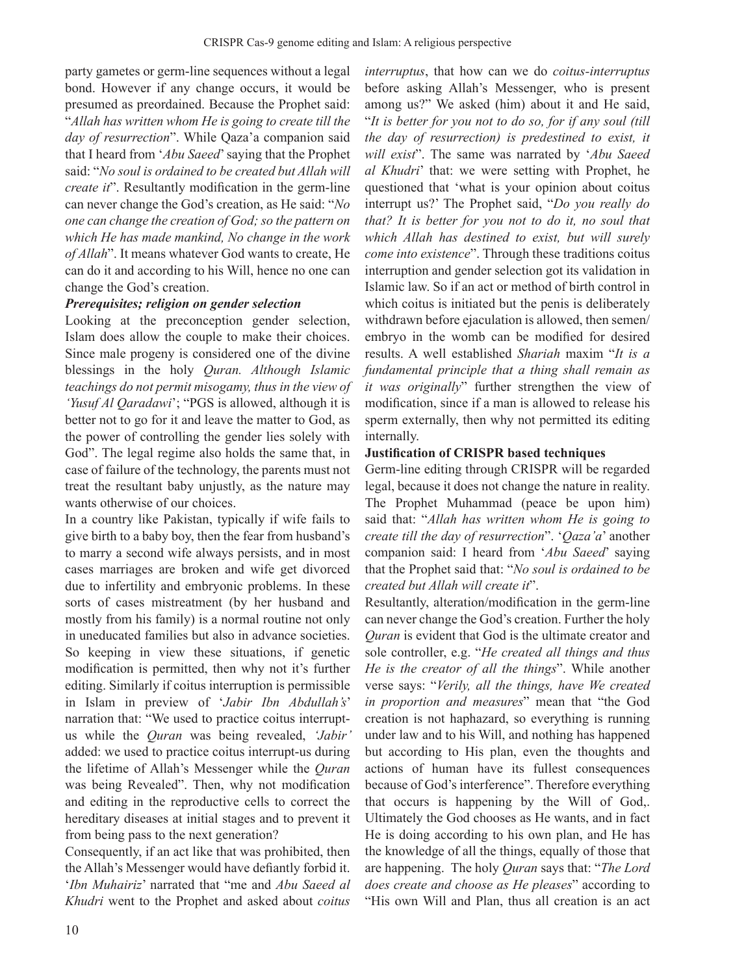party gametes or germ-line sequences without a legal bond. However if any change occurs, it would be presumed as preordained. Because the Prophet said: "*Allah has written whom He is going to create till the day of resurrection*". While Qaza'a companion said that I heard from '*Abu Saeed*'saying that the Prophet said: "*No soul is ordained to be created but Allah will create it*". Resultantly modification in the germ-line can never change the God's creation, as He said: "*No one can change the creation of God; so the pattern on which He has made mankind, No change in the work of Allah*". It means whatever God wants to create, He can do it and according to his Will, hence no one can change the God's creation.

## *Prerequisites; religion on gender selection*

Looking at the preconception gender selection, Islam does allow the couple to make their choices. Since male progeny is considered one of the divine blessings in the holy *Quran. Although Islamic teachings do not permit misogamy, thus in the view of 'Yusuf Al Qaradawi*'; "PGS is allowed, although it is better not to go for it and leave the matter to God, as the power of controlling the gender lies solely with God". The legal regime also holds the same that, in case of failure of the technology, the parents must not treat the resultant baby unjustly, as the nature may wants otherwise of our choices.

In a country like Pakistan, typically if wife fails to give birth to a baby boy, then the fear from husband's to marry a second wife always persists, and in most cases marriages are broken and wife get divorced due to infertility and embryonic problems. In these sorts of cases mistreatment (by her husband and mostly from his family) is a normal routine not only in uneducated families but also in advance societies. So keeping in view these situations, if genetic modification is permitted, then why not it's further editing. Similarly if coitus interruption is permissible in Islam in preview of '*Jabir Ibn Abdullah's*' narration that: "We used to practice coitus interruptus while the *Quran* was being revealed, *'Jabir'*  added: we used to practice coitus interrupt-us during the lifetime of Allah's Messenger while the *Quran* was being Revealed". Then, why not modification and editing in the reproductive cells to correct the hereditary diseases at initial stages and to prevent it from being pass to the next generation?

Consequently, if an act like that was prohibited, then the Allah's Messenger would have defiantly forbid it. '*Ibn Muhairiz*' narrated that "me and *Abu Saeed al Khudri* went to the Prophet and asked about *coitus* 

*interruptus*, that how can we do *coitus-interruptus* before asking Allah's Messenger, who is present among us?" We asked (him) about it and He said, "*It is better for you not to do so, for if any soul (till the day of resurrection) is predestined to exist, it will exist*". The same was narrated by '*Abu Saeed al Khudri*' that: we were setting with Prophet, he questioned that 'what is your opinion about coitus interrupt us?' The Prophet said, "*Do you really do that? It is better for you not to do it, no soul that which Allah has destined to exist, but will surely come into existence*". Through these traditions coitus interruption and gender selection got its validation in Islamic law. So if an act or method of birth control in which coitus is initiated but the penis is deliberately withdrawn before ejaculation is allowed, then semen/ embryo in the womb can be modified for desired results. A well established *Shariah* maxim "*It is a fundamental principle that a thing shall remain as it was originally*" further strengthen the view of modification, since if a man is allowed to release his sperm externally, then why not permitted its editing internally.

## **Justification of CRISPR based techniques**

Germ-line editing through CRISPR will be regarded legal, because it does not change the nature in reality. The Prophet Muhammad (peace be upon him) said that: "*Allah has written whom He is going to create till the day of resurrection*". '*Qaza'a*' another companion said: I heard from '*Abu Saeed*' saying that the Prophet said that: "*No soul is ordained to be created but Allah will create it*".

Resultantly, alteration/modification in the germ-line can never change the God's creation. Further the holy *Quran* is evident that God is the ultimate creator and sole controller, e.g. "*He created all things and thus He is the creator of all the things*". While another verse says: "*Verily, all the things, have We created in proportion and measures*" mean that "the God creation is not haphazard, so everything is running under law and to his Will, and nothing has happened but according to His plan, even the thoughts and actions of human have its fullest consequences because of God's interference". Therefore everything that occurs is happening by the Will of God,. Ultimately the God chooses as He wants, and in fact He is doing according to his own plan, and He has the knowledge of all the things, equally of those that are happening. The holy *Quran* says that: "*The Lord does create and choose as He pleases*" according to "His own Will and Plan, thus all creation is an act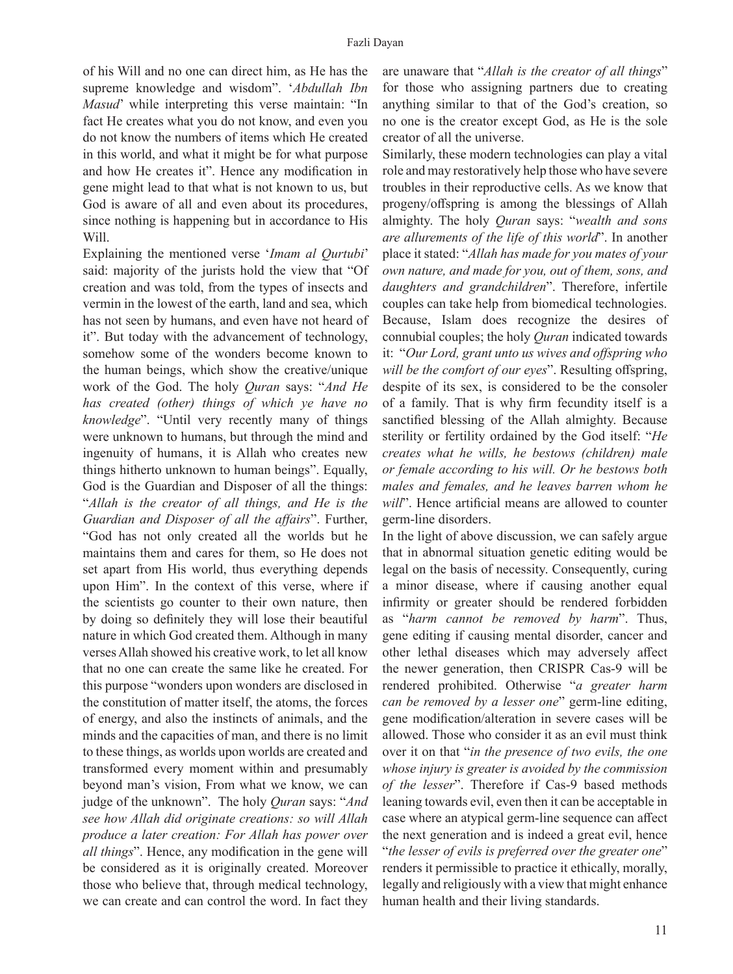of his Will and no one can direct him, as He has the supreme knowledge and wisdom". '*Abdullah Ibn Masud*' while interpreting this verse maintain: "In fact He creates what you do not know, and even you do not know the numbers of items which He created in this world, and what it might be for what purpose and how He creates it". Hence any modification in gene might lead to that what is not known to us, but God is aware of all and even about its procedures, since nothing is happening but in accordance to His Will.

Explaining the mentioned verse '*Imam al Qurtubi*' said: majority of the jurists hold the view that "Of creation and was told, from the types of insects and vermin in the lowest of the earth, land and sea, which has not seen by humans, and even have not heard of it". But today with the advancement of technology, somehow some of the wonders become known to the human beings, which show the creative/unique work of the God. The holy *Quran* says: "*And He has created (other) things of which ye have no knowledge*". "Until very recently many of things were unknown to humans, but through the mind and ingenuity of humans, it is Allah who creates new things hitherto unknown to human beings". Equally, God is the Guardian and Disposer of all the things: "*Allah is the creator of all things, and He is the Guardian and Disposer of all the affairs*". Further, "God has not only created all the worlds but he maintains them and cares for them, so He does not set apart from His world, thus everything depends upon Him". In the context of this verse, where if the scientists go counter to their own nature, then by doing so definitely they will lose their beautiful nature in which God created them. Although in many versesAllah showed his creative work, to let all know that no one can create the same like he created. For this purpose "wonders upon wonders are disclosed in the constitution of matter itself, the atoms, the forces of energy, and also the instincts of animals, and the minds and the capacities of man, and there is no limit to these things, as worlds upon worlds are created and transformed every moment within and presumably beyond man's vision, From what we know, we can judge of the unknown". The holy *Quran* says: "*And see how Allah did originate creations: so will Allah produce a later creation: For Allah has power over all things*". Hence, any modification in the gene will be considered as it is originally created. Moreover those who believe that, through medical technology, we can create and can control the word. In fact they are unaware that "*Allah is the creator of all things*" for those who assigning partners due to creating anything similar to that of the God's creation, so no one is the creator except God, as He is the sole creator of all the universe.

Similarly, these modern technologies can play a vital role and may restoratively help those who have severe troubles in their reproductive cells. As we know that progeny/offspring is among the blessings of Allah almighty. The holy *Quran* says: "*wealth and sons are allurements of the life of this world*". In another place it stated: "*Allah has made for you mates of your own nature, and made for you, out of them, sons, and daughters and grandchildren*". Therefore, infertile couples can take help from biomedical technologies. Because, Islam does recognize the desires of connubial couples; the holy *Quran* indicated towards it: "*Our Lord, grant unto us wives and offspring who will be the comfort of our eyes*". Resulting offspring, despite of its sex, is considered to be the consoler of a family. That is why firm fecundity itself is a sanctified blessing of the Allah almighty. Because sterility or fertility ordained by the God itself: "*He creates what he wills, he bestows (children) male or female according to his will. Or he bestows both males and females, and he leaves barren whom he will*". Hence artificial means are allowed to counter germ-line disorders.

In the light of above discussion, we can safely argue that in abnormal situation genetic editing would be legal on the basis of necessity. Consequently, curing a minor disease, where if causing another equal infirmity or greater should be rendered forbidden as "*harm cannot be removed by harm*". Thus, gene editing if causing mental disorder, cancer and other lethal diseases which may adversely affect the newer generation, then CRISPR Cas-9 will be rendered prohibited. Otherwise "*a greater harm can be removed by a lesser one*" germ-line editing, gene modification/alteration in severe cases will be allowed. Those who consider it as an evil must think over it on that "*in the presence of two evils, the one whose injury is greater is avoided by the commission of the lesser*". Therefore if Cas-9 based methods leaning towards evil, even then it can be acceptable in case where an atypical germ-line sequence can affect the next generation and is indeed a great evil, hence "*the lesser of evils is preferred over the greater one*" renders it permissible to practice it ethically, morally, legally and religiously with a view that might enhance human health and their living standards.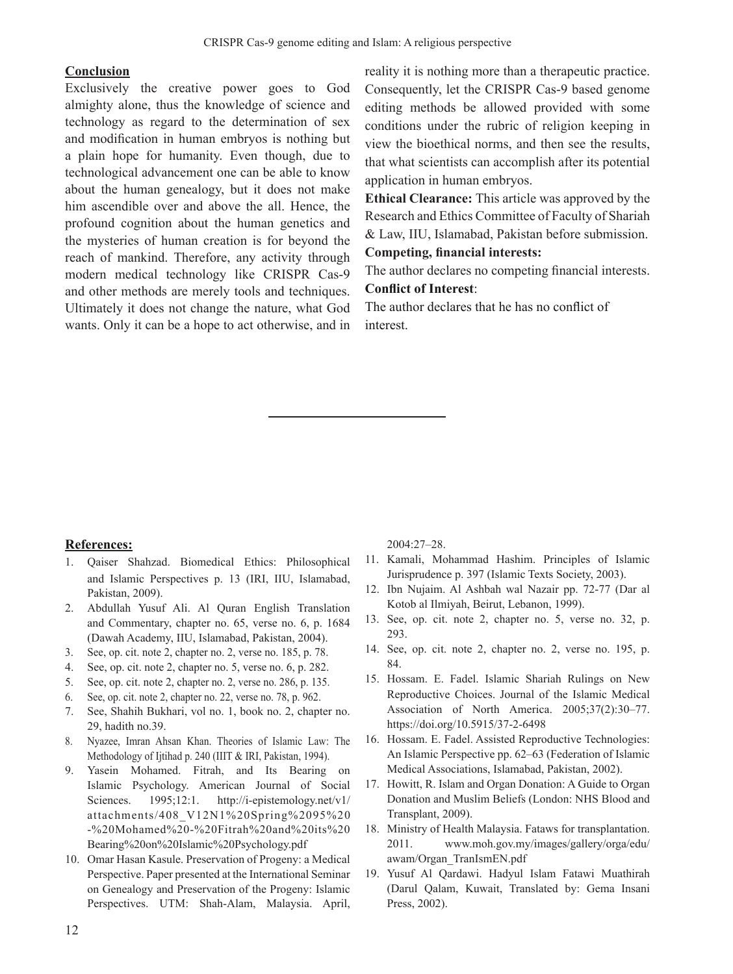## **Conclusion**

Exclusively the creative power goes to God almighty alone, thus the knowledge of science and technology as regard to the determination of sex and modification in human embryos is nothing but a plain hope for humanity. Even though, due to technological advancement one can be able to know about the human genealogy, but it does not make him ascendible over and above the all. Hence, the profound cognition about the human genetics and the mysteries of human creation is for beyond the reach of mankind. Therefore, any activity through modern medical technology like CRISPR Cas-9 and other methods are merely tools and techniques. Ultimately it does not change the nature, what God wants. Only it can be a hope to act otherwise, and in

reality it is nothing more than a therapeutic practice. Consequently, let the CRISPR Cas-9 based genome editing methods be allowed provided with some conditions under the rubric of religion keeping in view the bioethical norms, and then see the results, that what scientists can accomplish after its potential application in human embryos.

**Ethical Clearance:** This article was approved by the Research and Ethics Committee of Faculty of Shariah & Law, IIU, Islamabad, Pakistan before submission.

### **Competing, financial interests:**

The author declares no competing financial interests. **Conflict of Interest**:

The author declares that he has no conflict of interest.

### **References:**

- 1. Qaiser Shahzad. Biomedical Ethics: Philosophical and Islamic Perspectives p. 13 (IRI, IIU, Islamabad, Pakistan, 2009).
- 2. Abdullah Yusuf Ali. Al Quran English Translation and Commentary, chapter no. 65, verse no. 6, p. 1684 (Dawah Academy, IIU, Islamabad, Pakistan, 2004).
- 3. See, op. cit. note 2, chapter no. 2, verse no. 185, p. 78.
- 4. See, op. cit. note 2, chapter no. 5, verse no. 6, p. 282.
- 5. See, op. cit. note 2, chapter no. 2, verse no. 286, p. 135.
- 6. See, op. cit. note 2, chapter no. 22, verse no. 78, p. 962.
- 7. See, Shahih Bukhari, vol no. 1, book no. 2, chapter no. 29, hadith no.39.
- 8. Nyazee, Imran Ahsan Khan. Theories of Islamic Law: The Methodology of Ijtihad p. 240 (IIIT & IRI, Pakistan, 1994).
- 9. Yasein Mohamed. Fitrah, and Its Bearing on Islamic Psychology. American Journal of Social Sciences. 1995;12:1. http://i-epistemology.net/v1/ attachments/408\_V12N1%20Spring%2095%20 -%20Mohamed%20-%20Fitrah%20and%20its%20 Bearing%20on%20Islamic%20Psychology.pdf
- 10. Omar Hasan Kasule. Preservation of Progeny: a Medical Perspective. Paper presented at the International Seminar on Genealogy and Preservation of the Progeny: Islamic Perspectives. UTM: Shah-Alam, Malaysia. April,

2004:27–28. 

- 11. Kamali, Mohammad Hashim. Principles of Islamic Jurisprudence p. 397 (Islamic Texts Society, 2003).
- 12. Ibn Nujaim. Al Ashbah wal Nazair pp. 72-77 (Dar al Kotob al Ilmiyah, Beirut, Lebanon, 1999).
- 13. See, op. cit. note 2, chapter no. 5, verse no. 32, p. 293.
- 14. See, op. cit. note 2, chapter no. 2, verse no. 195, p. 84.
- 15. Hossam. E. Fadel. Islamic Shariah Rulings on New Reproductive Choices. Journal of the Islamic Medical Association of North America. 2005;37(2):30–77. https://doi.org/10.5915/37-2-6498
- 16. Hossam. E. Fadel. Assisted Reproductive Technologies: An Islamic Perspective pp. 62–63 (Federation of Islamic Medical Associations, Islamabad, Pakistan, 2002).
- 17. Howitt, R. Islam and Organ Donation: A Guide to Organ Donation and Muslim Beliefs (London: NHS Blood and Transplant, 2009).
- 18. Ministry of Health Malaysia. Fataws for transplantation. 2011. www.moh.gov.my/images/gallery/orga/edu/ awam/Organ\_TranIsmEN.pdf
- 19. Yusuf Al Qardawi. Hadyul Islam Fatawi Muathirah (Darul Qalam, Kuwait, Translated by: Gema Insani Press, 2002).